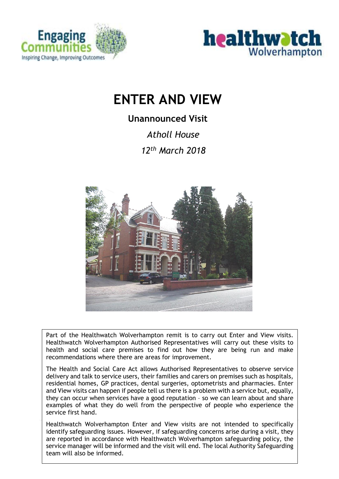



# **ENTER AND VIEW**

# **Unannounced Visit**

*Atholl House* 

*12th March 2018* 



Part of the Healthwatch Wolverhampton remit is to carry out Enter and View visits. Healthwatch Wolverhampton Authorised Representatives will carry out these visits to health and social care premises to find out how they are being run and make recommendations where there are areas for improvement.

The Health and Social Care Act allows Authorised Representatives to observe service delivery and talk to service users, their families and carers on premises such as hospitals, residential homes, GP practices, dental surgeries, optometrists and pharmacies. Enter and View visits can happen if people tell us there is a problem with a service but, equally, they can occur when services have a good reputation – so we can learn about and share examples of what they do well from the perspective of people who experience the service first hand.

Healthwatch Wolverhampton Enter and View visits are not intended to specifically identify safeguarding issues. However, if safeguarding concerns arise during a visit, they are reported in accordance with Healthwatch Wolverhampton safeguarding policy, the service manager will be informed and the visit will end. The local Authority Safeguarding team will also be informed.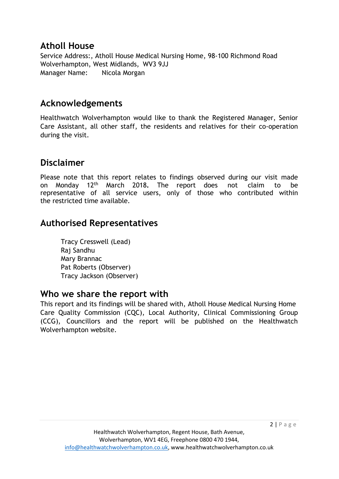### **Atholl House**

Service Address:, Atholl House Medical Nursing Home, 98-100 Richmond Road Wolverhampton, West Midlands, WV3 9JJ Manager Name: Nicola Morgan

# **Acknowledgements**

Healthwatch Wolverhampton would like to thank the Registered Manager, Senior Care Assistant, all other staff, the residents and relatives for their co-operation during the visit.

# **Disclaimer**

Please note that this report relates to findings observed during our visit made on Monday 12th March 2018**.** The report does not claim to be representative of all service users, only of those who contributed within the restricted time available.

# **Authorised Representatives**

Tracy Cresswell (Lead) Raj Sandhu Mary Brannac Pat Roberts (Observer) Tracy Jackson (Observer)

### **Who we share the report with**

This report and its findings will be shared with, Atholl House Medical Nursing Home Care Quality Commission (CQC), Local Authority, Clinical Commissioning Group (CCG), Councillors and the report will be published on the Healthwatch Wolverhampton website.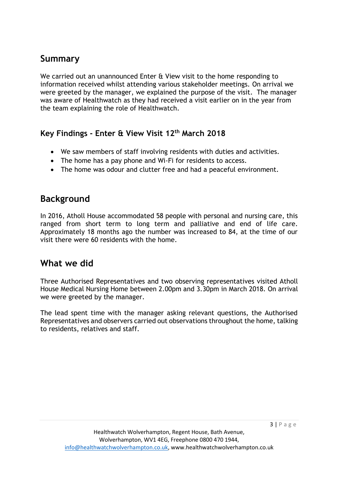# **Summary**

We carried out an unannounced Enter & View visit to the home responding to information received whilst attending various stakeholder meetings. On arrival we were greeted by the manager, we explained the purpose of the visit. The manager was aware of Healthwatch as they had received a visit earlier on in the year from the team explaining the role of Healthwatch.

### **Key Findings - Enter & View Visit 12th March 2018**

- We saw members of staff involving residents with duties and activities.
- The home has a pay phone and Wi-Fi for residents to access.
- The home was odour and clutter free and had a peaceful environment.

### **Background**

In 2016, Atholl House accommodated 58 people with personal and nursing care, this ranged from short term to long term and palliative and end of life care. Approximately 18 months ago the number was increased to 84, at the time of our visit there were 60 residents with the home.

### **What we did**

Three Authorised Representatives and two observing representatives visited Atholl House Medical Nursing Home between 2.00pm and 3.30pm in March 2018. On arrival we were greeted by the manager.

The lead spent time with the manager asking relevant questions, the Authorised Representatives and observers carried out observations throughout the home, talking to residents, relatives and staff.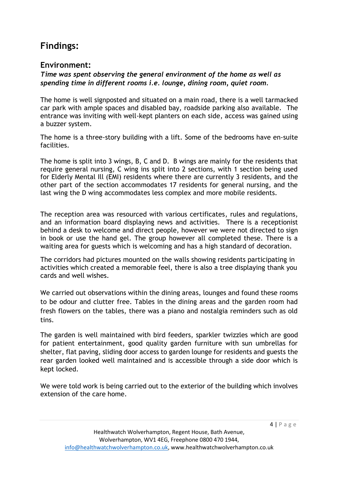# **Findings:**

### **Environment:**

*Time was spent observing the general environment of the home as well as spending time in different rooms i.e. lounge, dining room, quiet room.*

The home is well signposted and situated on a main road, there is a well tarmacked car park with ample spaces and disabled bay, roadside parking also available. The entrance was inviting with well-kept planters on each side, access was gained using a buzzer system.

The home is a three-story building with a lift. Some of the bedrooms have en-suite facilities.

The home is split into 3 wings, B, C and D. B wings are mainly for the residents that require general nursing, C wing ins split into 2 sections, with 1 section being used for Elderly Mental Ill (EMI) residents where there are currently 3 residents, and the other part of the section accommodates 17 residents for general nursing, and the last wing the D wing accommodates less complex and more mobile residents.

The reception area was resourced with various certificates, rules and regulations, and an information board displaying news and activities. There is a receptionist behind a desk to welcome and direct people, however we were not directed to sign in book or use the hand gel. The group however all completed these. There is a waiting area for guests which is welcoming and has a high standard of decoration.

The corridors had pictures mounted on the walls showing residents participating in activities which created a memorable feel, there is also a tree displaying thank you cards and well wishes.

We carried out observations within the dining areas, lounges and found these rooms to be odour and clutter free. Tables in the dining areas and the garden room had fresh flowers on the tables, there was a piano and nostalgia reminders such as old tins.

The garden is well maintained with bird feeders, sparkler twizzles which are good for patient entertainment, good quality garden furniture with sun umbrellas for shelter, flat paving, sliding door access to garden lounge for residents and guests the rear garden looked well maintained and is accessible through a side door which is kept locked.

We were told work is being carried out to the exterior of the building which involves extension of the care home.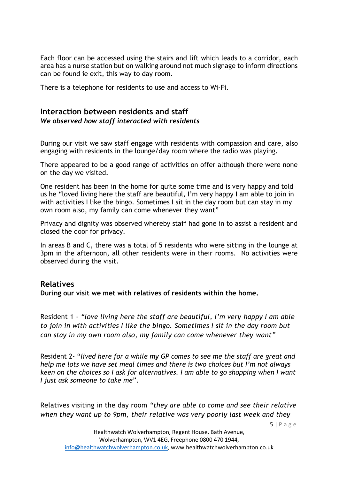Each floor can be accessed using the stairs and lift which leads to a corridor, each area has a nurse station but on walking around not much signage to inform directions can be found ie exit, this way to day room.

There is a telephone for residents to use and access to Wi-Fi.

#### **Interaction between residents and staff** *We observed how staff interacted with residents*

During our visit we saw staff engage with residents with compassion and care, also engaging with residents in the lounge/day room where the radio was playing.

There appeared to be a good range of activities on offer although there were none on the day we visited.

One resident has been in the home for quite some time and is very happy and told us he "loved living here the staff are beautiful, I'm very happy I am able to join in with activities I like the bingo. Sometimes I sit in the day room but can stay in my own room also, my family can come whenever they want"

Privacy and dignity was observed whereby staff had gone in to assist a resident and closed the door for privacy.

In areas B and C, there was a total of 5 residents who were sitting in the lounge at 3pm in the afternoon, all other residents were in their rooms. No activities were observed during the visit.

#### **Relatives**

**During our visit we met with relatives of residents within the home.**

Resident 1 - *"love living here the staff are beautiful, I'm very happy I am able to join in with activities I like the bingo. Sometimes I sit in the day room but can stay in my own room also, my family can come whenever they want"*

Resident 2- "*lived here for a while my GP comes to see me the staff are great and help me lots we have set meal times and there is two choices but I'm not always keen on the choices so I ask for alternatives. I am able to go shopping when I want I just ask someone to take me*".

Relatives visiting in the day room *"they are able to come and see their relative when they want up to 9pm, their relative was very poorly last week and they*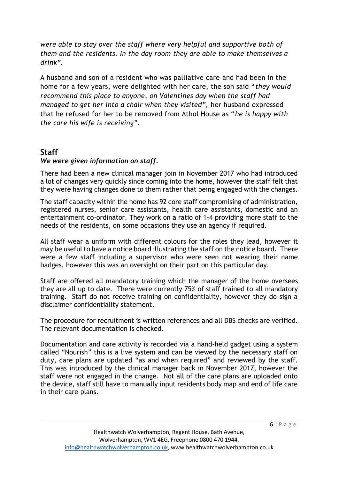*were able to stay over the staff where very helpful and supportive both of them and the residents. In the day room they are able to make themselves a drink".* 

A husband and son of a resident who was palliative care and had been in the home for a few years, were delighted with her care, the son said "*they would recommend this place to anyone, on Valentines day when the staff had managed to get her into a chair when they visited",* her husband expressed that he refused for her to be removed from Athol House as "*he is happy with the care his wife is receiving".*

#### **Staff**

#### *We were given information on staff.*

There had been a new clinical manager join in November 2017 who had introduced a lot of changes very quickly since coming into the home, however the staff felt that they were having changes done to them rather that being engaged with the changes.

The staff capacity within the home has 92 core staff compromising of administration, registered nurses, senior care assistants, health care assistants, domestic and an entertainment co-ordinator. They work on a ratio of 1-4 providing more staff to the needs of the residents, on some occasions they use an agency if required.

All staff wear a uniform with different colours for the roles they lead, however it may be useful to have a notice board illustrating the staff on the notice board. There were a few staff including a supervisor who were seen not wearing their name badges, however this was an oversight on their part on this particular day.

Staff are offered all mandatory training which the manager of the home oversees they are all up to date. There were currently 75% of staff trained to all mandatory training. Staff do not receive training on confidentiality, however they do sign a disclaimer confidentiality statement.

The procedure for recruitment is written references and all DBS checks are verified. The relevant documentation is checked.

Documentation and care activity is recorded via a hand-held gadget using a system called "Nourish" this is a live system and can be viewed by the necessary staff on duty, care plans are updated "as and when required" and reviewed by the staff. This was introduced by the clinical manager back in November 2017, however the staff were not engaged in the change. Not all of the care plans are uploaded onto the device, staff still have to manually input residents body map and end of life care in their care plans.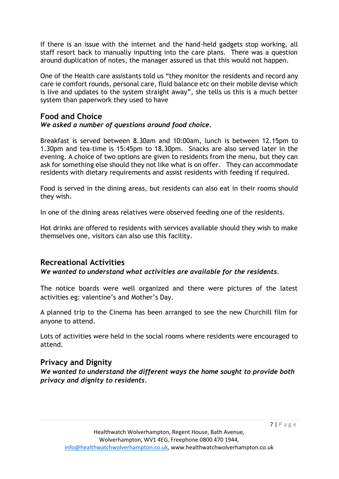If there is an issue with the internet and the hand-held gadgets stop working, all staff resort back to manually inputting into the care plans. There was a question around duplication of notes, the manager assured us that this would not happen.

One of the Health care assistants told us "they monitor the residents and record any care ie comfort rounds, personal care, fluid balance etc on their mobile devise which is live and updates to the system straight away", she tells us this is a much better system than paperwork they used to have

# **Food and Choice**

#### *We asked a number of questions around food choice.*

Breakfast is served between 8.30am and 10:00am, lunch is between 12.15pm to 1.30pm and tea-time is 15:45pm to 18.30pm. Snacks are also served later in the evening. A choice of two options are given to residents from the menu, but they can ask for something else should they not like what is on offer. They can accommodate residents with dietary requirements and assist residents with feeding if required.

Food is served in the dining areas, but residents can also eat in their rooms should they wish.

In one of the dining areas relatives were observed feeding one of the residents.

Hot drinks are offered to residents with services available should they wish to make themselves one, visitors can also use this facility.

### **Recreational Activities**

#### *We wanted to understand what activities are available for the residents.*

The notice boards were well organized and there were pictures of the latest activities eg: valentine's and Mother's Day.

A planned trip to the Cinema has been arranged to see the new Churchill film for anyone to attend.

Lots of activities were held in the social rooms where residents were encouraged to attend.

#### **Privacy and Dignity**

*We wanted to understand the different ways the home sought to provide both privacy and dignity to residents.*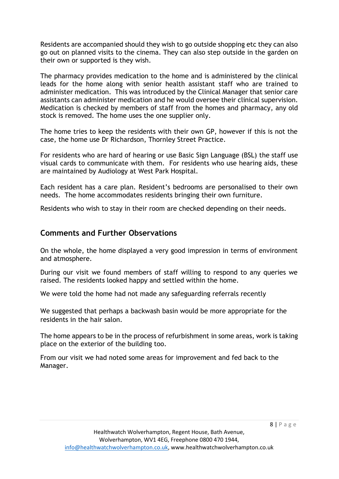Residents are accompanied should they wish to go outside shopping etc they can also go out on planned visits to the cinema. They can also step outside in the garden on their own or supported is they wish.

The pharmacy provides medication to the home and is administered by the clinical leads for the home along with senior health assistant staff who are trained to administer medication. This was introduced by the Clinical Manager that senior care assistants can administer medication and he would oversee their clinical supervision. Medication is checked by members of staff from the homes and pharmacy, any old stock is removed. The home uses the one supplier only.

The home tries to keep the residents with their own GP, however if this is not the case, the home use Dr Richardson, Thornley Street Practice.

For residents who are hard of hearing or use Basic Sign Language (BSL) the staff use visual cards to communicate with them. For residents who use hearing aids, these are maintained by Audiology at West Park Hospital.

Each resident has a care plan. Resident's bedrooms are personalised to their own needs. The home accommodates residents bringing their own furniture.

Residents who wish to stay in their room are checked depending on their needs.

#### **Comments and Further Observations**

On the whole, the home displayed a very good impression in terms of environment and atmosphere.

During our visit we found members of staff willing to respond to any queries we raised. The residents looked happy and settled within the home.

We were told the home had not made any safeguarding referrals recently

We suggested that perhaps a backwash basin would be more appropriate for the residents in the hair salon.

The home appears to be in the process of refurbishment in some areas, work is taking place on the exterior of the building too.

From our visit we had noted some areas for improvement and fed back to the Manager.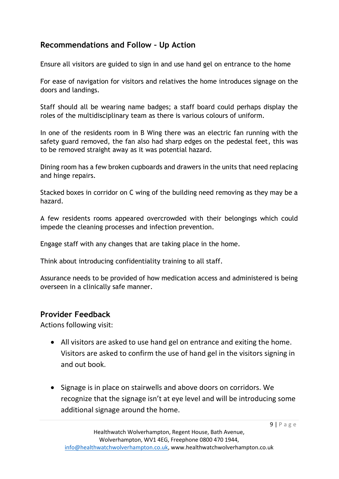### **Recommendations and Follow – Up Action**

Ensure all visitors are guided to sign in and use hand gel on entrance to the home

For ease of navigation for visitors and relatives the home introduces signage on the doors and landings.

Staff should all be wearing name badges; a staff board could perhaps display the roles of the multidisciplinary team as there is various colours of uniform.

In one of the residents room in B Wing there was an electric fan running with the safety guard removed, the fan also had sharp edges on the pedestal feet, this was to be removed straight away as it was potential hazard.

Dining room has a few broken cupboards and drawers in the units that need replacing and hinge repairs.

Stacked boxes in corridor on C wing of the building need removing as they may be a hazard.

A few residents rooms appeared overcrowded with their belongings which could impede the cleaning processes and infection prevention.

Engage staff with any changes that are taking place in the home.

Think about introducing confidentiality training to all staff.

Assurance needs to be provided of how medication access and administered is being overseen in a clinically safe manner.

### **Provider Feedback**

Actions following visit:

- All visitors are asked to use hand gel on entrance and exiting the home. Visitors are asked to confirm the use of hand gel in the visitors signing in and out book.
- Signage is in place on stairwells and above doors on corridors. We recognize that the signage isn't at eye level and will be introducing some additional signage around the home.